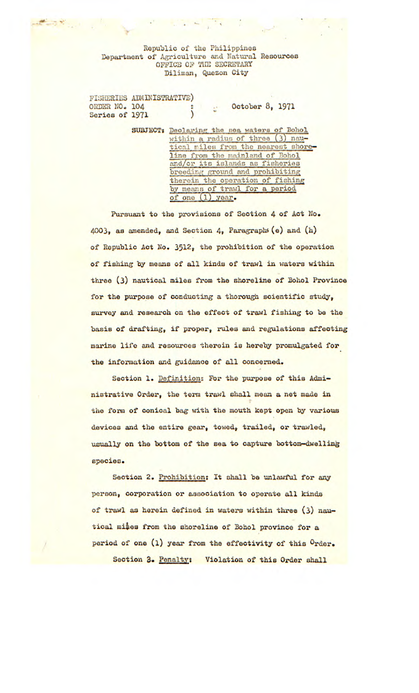Republic of the Philippines Department of Agriculture and Natural Resources OFFICE O)' PIlE *SECRETARY*  Diliman, *Quezon* City

 $\mathcal{L} \rightarrow \mathcal{L}$ 

FISHERIES ADMINISTRATIVE) ORDER NO. 104 : October 8, 1971 Series of 1971 (1995)

> SUBJECT: Declaring the sea waters of Bohol within a radius of three (3) nautical miles from the nearest shoreline from the mainland of Bohol and/cr its islands as fisheries breeding ground and prohibiting therein the operation of fishing by means of trawl for a period of one (1) year.

Pursuant to the provisions of Section 4 of Act No. 4003, as amended, and Section 4, Paragraphs (e) and (h) of Republic Act No. 3512, the prohibition of the operation of fishing by means of all kinds of trawl in waters within three (3) nautical miles from the shoreline of Bohol Province for the purpose of conducting a thorough scientific study, survey and research on the effect of trawl fishing to be the **basis of** drafting, if proper, rules and regulations affecting marine life and resources therein is hereby promulgated for the information and guidance of all concerned..

Section 1. Definition: For the purpose of this Administrative Order, the terra trawl shall moan a net made in the form of conical bag with the mouth kept open by various devices and the entire gear, towed, trailed, or trawled, usually on the bottom of the sea to capture bottom-dwelling species.

Section 2. Prohibition: It shall be unlawful for any person, corporation or association to operate all kinds of trawl as herein defined in waters within three (3) nautical **mites** from the shoreline of Bohol province for a period of one  $(1)$  year from the effectivity of this  $0$ rder. Section 3. *Penalty: Violation of this* **Order shall**